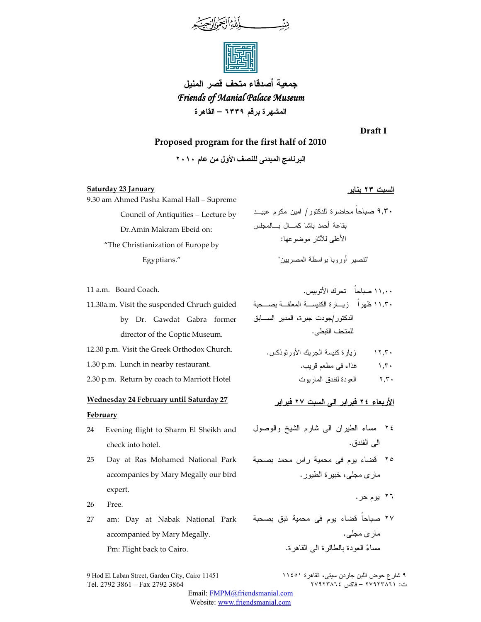

**جمعية أصدقاء متحف قصر المنيل**  *Friends of Manial Palace Museum Friends*  **المشهرة برقم ٦٣٣٩ – القاهرة** 

**Draft I**

# **Proposed program for the first half of 2010**

البرنامج المبدئ*ى* للنصف الأول من عام ٢٠١٠

# **السبت ٢٣ يناير January 23 Saturday**

11 a.m. Board Coach.

| 9.30 am Ahmed Pasha Kamal Hall – Supreme |
|------------------------------------------|
| Council of Antiquities – Lecture by      |
| Dr.Amin Makram Ebeid on:                 |
| "The Christianization of Europe by       |
| Egyptians."                              |

"تنصير أوروبا بواسطة المصريين " ١١,٠٠ صباحاً تحرك الأتوبيس . ١١,٣٠ ظهراً زيـارة الكنيسـة المعلقـة بصـحبة الدكتور/جودت جبرة، المدير السـابق

للمتحف القبطى .

١٢,٣٠ زيارة كنيسة الجريك الأورثوذكس .

**الأربعاء ٢٤ فبراير الى السبت ٢٧ فبراير** 

٢٤ مساء الطيران الى شارم الشيخ والوصول

٢٥ قضاء يوم فى محمية راس محمد بصحبة

مارى مجلى، خبيرة الطيور .

١,٣٠ غذاء فى مطعم قريب . ٢,٣٠ العودة لفندق الماريوت

الى الفندق .

٢٦ يوم حر .

مارى مجلى .

٩,٣٠ صباحاً محاضرة للدكتور / امين مكرم عبيـد

الأعلى للآثار موضوعها :

بقاعة أحمد باشا كمـال بـالمجلس

by Dr. Gawdat Gabra former director of the Coptic Museum.

12.30 p.m. Visit the Greek Orthodox Church.

11.30a.m. Visit the suspended Chruch guided

1.30 p.m. Lunch in nearby restaurant.

2.30 p.m. Return by coach to Marriott Hotel

# **Wednesday 24 February until Saturday 27**

## **February**

- 24 Evening flight to Sharm El Sheikh and check into hotel.
- 25 Day at Ras Mohamed National Park accompanies by Mary Megally our bird expert.
- 26 Free.
- ٢٧ صباحاً قضاء يوم فى محمية نبق بصحبة 27 am: Day at Nabak National Park accompanied by Mary Megally. Pm: Flight back to Cairo.

9 Hod El Laban Street, Garden City, Cairo 11451 ١١٤٥١ القاهرة ،سيتى جاردن اللبن حوض شارع ٩ ت: ٦٧٩٢٣٨٦١ – فاكس ٢٧٩٢٣٨٦٤ كان ٢١٩٢٣٨٦ – فاكس ٢٧٩٢٣٨٦٤

مساءً العودة بالطائرة الى القاهرة.

Email: FMPM@friendsmanial.com Website: www.friendsmanial.com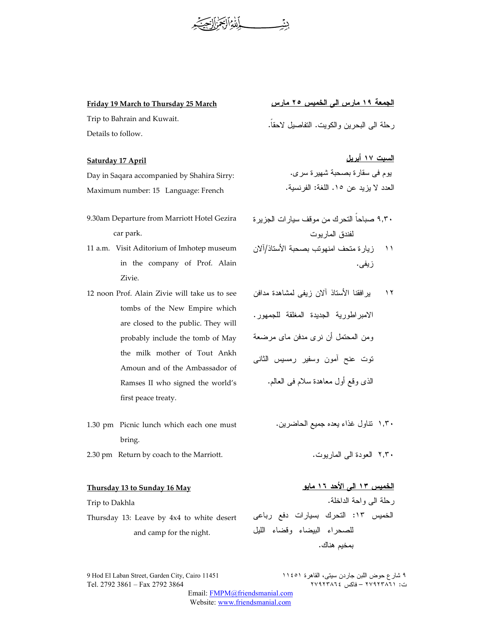ديئمه بالتةالج

### **Friday 19 March to Thursday 25 March**

Trip to Bahrain and Kuwait. Details to follow.

#### **Saturday 17 April**

Day in Saqara accompanied by Shahira Sirry: Maximum number: 15 Language: French

- 9.30am Departure from Marriott Hotel Gezira car park.
- 11 a.m. Visit Aditorium of Imhotep museum in the company of Prof. Alain Zivie.
- 12 noon Prof. Alain Zivie will take us to see tombs of the New Empire which are closed to the public. They will probably include the tomb of May the milk mother of Tout Ankh Amoun and of the Ambassador of Ramses II who signed the world's first peace treaty.
- 1.30 pm Picnic lunch which each one must bring.
- 2.30 pm Return by coach to the Marriott.

## **Thursday 13 to Sunday 16 May**

Trip to Dakhla

Thursday 13: Leave by 4x4 to white desert and camp for the night.

**الجمعة ١٩ مارس الى الخميس ٢٥ مارس**  رحلة الى البحرين والكويت. التفاصيل لاحقاً .

**السبت ١٧ أبريل** يوم فى سقارة بصحبة شهيرة سرى . العدد لا يزيد عن ١٥. اللغة: الفرنسية .

٩,٣٠ صباحاً التحرك من موقف سيارات الجزيرة لفندق الماريوت

١١ زيارة متحف امنهوتب بصحبة الأستاذ/آلان زيفى .

 ١٢ يرافقنا الأستاذ آلان زيفى لمشاهدة مدافن الامبراطورية الجديدة المغلقة للجمهور. ومن المحتمل أن نرى مدفن ماى مرضعة توت عنح آمون وسفير رمسيس الثانى الذى وقع أول معاهدة سلام فى العالم .

١,٣٠ تناول غذاء يعده جميع الحاضرين .

٢,٣٠ العودة الى الماريوت .

# **الخميس ١٣ الى الأحد ١٦ مايو**  رحلة الى واحة الداخلة . الخميس :١٣ التحرك بسيارات دفع رباعى للصحراء البيضاء وقضاء الليل بمخيم هناك .

9 Hod El Laban Street, Garden City, Cairo 11451 ١١٤٥١ القاهرة ،سيتى جاردن اللبن حوض شارع ٩ ت: ٦٧٩٢٣٨٦١ – فاكس ٢٧٩٢٣٨٦٤ كان ٢١٩٢٣٨٦ – فاكس ٢٧٩٢٣٨٦٤